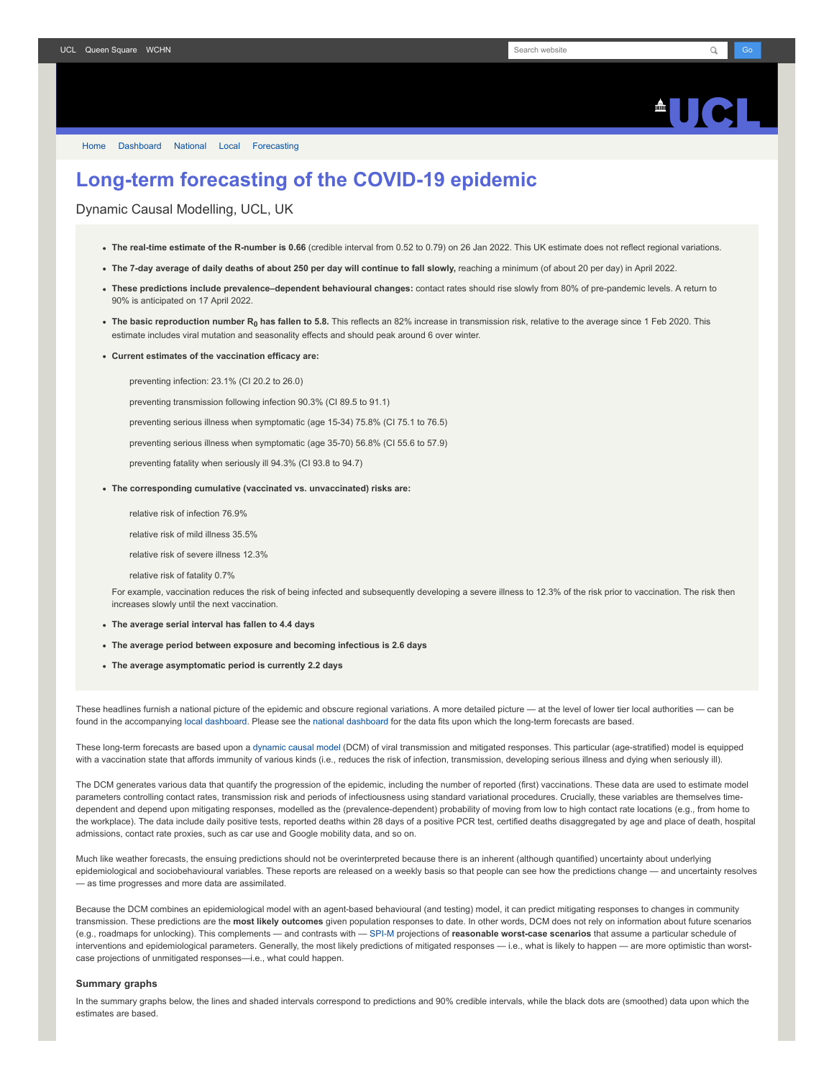[Home](https://www.fil.ion.ucl.ac.uk/spm/covid-19/) [Dashboard](https://www.fil.ion.ucl.ac.uk/spm/covid-19/dashboard/) [National](https://www.fil.ion.ucl.ac.uk/spm/covid-19/dashboard/) [Local](https://www.fil.ion.ucl.ac.uk/spm/covid-19/dashboard/local/) [Forecasting](https://www.fil.ion.ucl.ac.uk/spm/covid-19/forecasting/)

## **Long-term forecasting of the COVID-19 epidemic**

Dynamic Causal Modelling, UCL, UK

- **The real-time estimate of the R-number is 0.66** (credible interval from 0.52 to 0.79) on 26 Jan 2022. This UK estimate does not reflect regional variations.
- **The 7-day average of daily deaths of about 250 per day will continue to fall slowly,** reaching a minimum (of about 20 per day) in April 2022.
- **These predictions include prevalence–dependent behavioural changes:** contact rates should rise slowly from 80% of pre-pandemic levels. A return to 90% is anticipated on 17 April 2022.
- **The basic reproduction number R<sup>0</sup> has fallen to 5.8.** This reflects an 82% increase in transmission risk, relative to the average since 1 Feb 2020. This estimate includes viral mutation and seasonality effects and should peak around 6 over winter.
- **Current estimates of the vaccination efficacy are:**

preventing infection: 23.1% (CI 20.2 to 26.0)

preventing transmission following infection 90.3% (CI 89.5 to 91.1)

preventing serious illness when symptomatic (age 15-34) 75.8% (CI 75.1 to 76.5)

preventing serious illness when symptomatic (age 35-70) 56.8% (CI 55.6 to 57.9)

preventing fatality when seriously ill 94.3% (CI 93.8 to 94.7)

- **The corresponding cumulative (vaccinated vs. unvaccinated) risks are:**
	- relative risk of infection 76.9%

relative risk of mild illness 35.5%

relative risk of severe illness 12.3%

relative risk of fatality 0.7%

For example, vaccination reduces the risk of being infected and subsequently developing a severe illness to 12.3% of the risk prior to vaccination. The risk then increases slowly until the next vaccination.

- **The average serial interval has fallen to 4.4 days**
- **The average period between exposure and becoming infectious is 2.6 days**
- **The average asymptomatic period is currently 2.2 days**

These headlines furnish a national picture of the epidemic and obscure regional variations. A more detailed picture — at the level of lower tier local authorities — can be found in the accompanying [local dashboard](https://www.fil.ion.ucl.ac.uk/spm/covid-19/dashboard/local/). Please see the [national dashboard](https://www.fil.ion.ucl.ac.uk/spm/covid-19/dashboard/) for the data fits upon which the long-term forecasts are based.

These long-term forecasts are based upon a [dynamic causal model](https://www.fil.ion.ucl.ac.uk/spm/covid-19) (DCM) of viral transmission and mitigated responses. This particular (age-stratified) model is equipped with a vaccination state that affords immunity of various kinds (i.e., reduces the risk of infection, transmission, developing serious illness and dying when seriously ill).

The DCM generates various data that quantify the progression of the epidemic, including the number of reported (first) vaccinations. These data are used to estimate model parameters controlling contact rates, transmission risk and periods of infectiousness using standard variational procedures. Crucially, these variables are themselves timedependent and depend upon mitigating responses, modelled as the (prevalence-dependent) probability of moving from low to high contact rate locations (e.g., from home to the workplace). The data include daily positive tests, reported deaths within 28 days of a positive PCR test, certified deaths disaggregated by age and place of death, hospital admissions, contact rate proxies, such as car use and Google mobility data, and so on.

Much like weather forecasts, the ensuing predictions should not be overinterpreted because there is an inherent (although quantified) uncertainty about underlying epidemiological and sociobehavioural variables. These reports are released on a weekly basis so that people can see how the predictions change — and uncertainty resolves — as time progresses and more data are assimilated.

Because the DCM combines an epidemiological model with an agent-based behavioural (and testing) model, it can predict mitigating responses to changes in community transmission. These predictions are the **most likely outcomes** given population responses to date. In other words, DCM does not rely on information about future scenarios (e.g., roadmaps for unlocking). This complements — and contrasts with — [SPI-M](https://www.gov.uk/government/groups/scientific-pandemic-influenza-subgroup-on-modelling) projections of **reasonable worst-case scenarios** that assume a particular schedule of interventions and epidemiological parameters. Generally, the most likely predictions of mitigated responses - i.e., what is likely to happen - are more optimistic than worstcase projections of unmitigated responses—i.e., what could happen.

## **Summary graphs**

In the summary graphs below, the lines and shaded intervals correspond to predictions and 90% credible intervals, while the black dots are (smoothed) data upon which the estimates are based.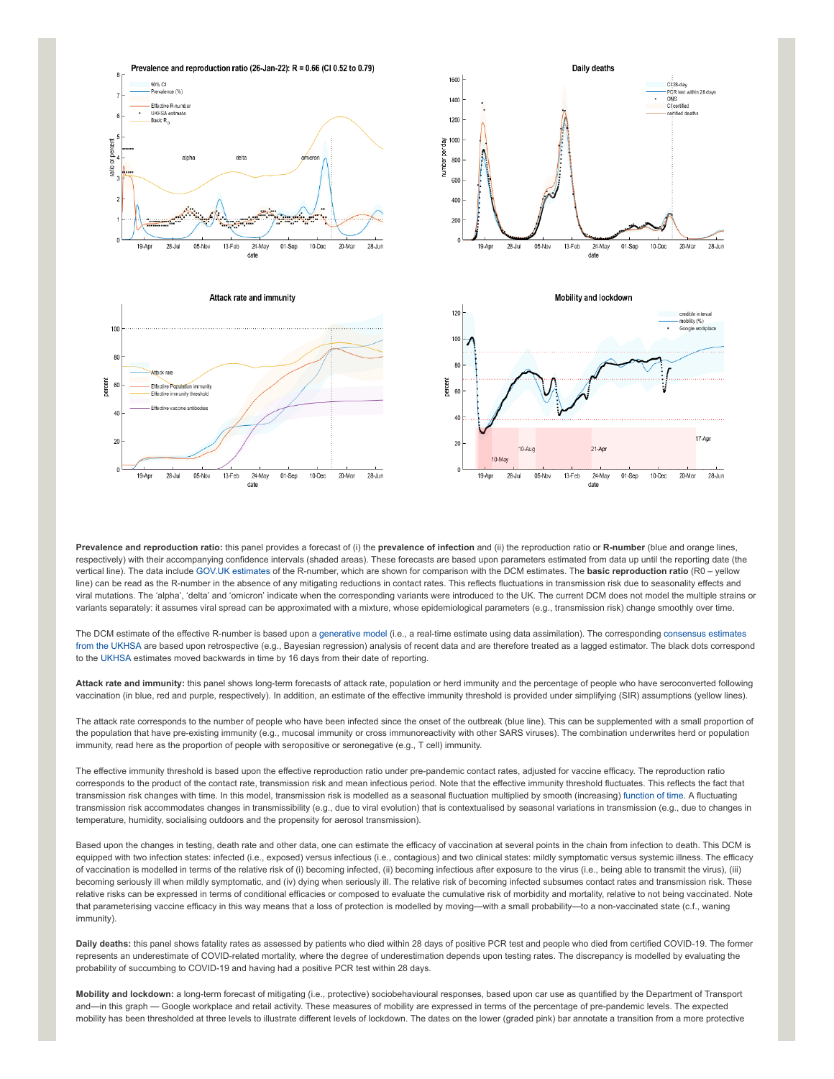







**Prevalence and reproduction ratio:** this panel provides a forecast of (i) the **prevalence of infection** and (ii) the reproduction ratio or **R-number** (blue and orange lines, respectively) with their accompanying confidence intervals (shaded areas). These forecasts are based upon parameters estimated from data up until the reporting date (the vertical line). The data include [GOV.UK estimates](https://www.gov.uk/guidance/the-r-number-in-the-uk#latest-r-and-growth-rate) of the R-number, which are shown for comparison with the DCM estimates. The **basic reproduction ratio** (R0 – yellow line) can be read as the R-number in the absence of any mitigating reductions in contact rates. This reflects fluctuations in transmission risk due to seasonality effects and viral mutations. The 'alpha', 'delta' and 'omicron' indicate when the corresponding variants were introduced to the UK. The current DCM does not model the multiple strains or variants separately: it assumes viral spread can be approximated with a mixture, whose epidemiological parameters (e.g., transmission risk) change smoothly over time.

[The DCM estimate of the effective R-number is based upon a](https://www.gov.uk/guidance/the-r-number-in-the-uk#contents) [generative mode](https://en.wikipedia.org/wiki/Generative_model)[l \(i.e., a real-time estimate using data assimilation\). The corresponding consensus estimates](https://www.gov.uk/guidance/the-r-number-in-the-uk#contents) from the UKHSA are based upon retrospective (e.g., Bayesian regression) analysis of recent data and are therefore treated as a lagged estimator. The black dots correspond to the [UKHSA](https://www.gov.uk/government/news/uk-health-security-agency-to-take-on-the-modelling-of-the-r-value-and-growth-rate) estimates moved backwards in time by 16 days from their date of reporting.

**Attack rate and immunity:** this panel shows long-term forecasts of attack rate, population or herd immunity and the percentage of people who have seroconverted following vaccination (in blue, red and purple, respectively). In addition, an estimate of the effective immunity threshold is provided under simplifying (SIR) assumptions (yellow lines).

The attack rate corresponds to the number of people who have been infected since the onset of the outbreak (blue line). This can be supplemented with a small proportion of the population that have pre-existing immunity (e.g., mucosal immunity or cross immunoreactivity with other SARS viruses). The combination underwrites herd or population immunity, read here as the proportion of people with seropositive or seronegative (e.g., T cell) immunity.

The effective immunity threshold is based upon the effective reproduction ratio under pre-pandemic contact rates, adjusted for vaccine efficacy. The reproduction ratio corresponds to the product of the contact rate, transmission risk and mean infectious period. Note that the effective immunity threshold fluctuates. This reflects the fact that transmission risk changes with time. In this model, transmission risk is modelled as a seasonal fluctuation multiplied by smooth (increasing) [function of time.](https://www.medrxiv.org/content/10.1101/2021.01.10.21249520v1) A fluctuating transmission risk accommodates changes in transmissibility (e.g., due to viral evolution) that is contextualised by seasonal variations in transmission (e.g., due to changes in temperature, humidity, socialising outdoors and the propensity for aerosol transmission).

Based upon the changes in testing, death rate and other data, one can estimate the efficacy of vaccination at several points in the chain from infection to death. This DCM is equipped with two infection states: infected (i.e., exposed) versus infectious (i.e., contagious) and two clinical states: mildly symptomatic versus systemic illness. The efficacy of vaccination is modelled in terms of the relative risk of (i) becoming infected, (ii) becoming infectious after exposure to the virus (i.e., being able to transmit the virus), (iii) becoming seriously ill when mildly symptomatic, and (iv) dying when seriously ill. The relative risk of becoming infected subsumes contact rates and transmission risk. These relative risks can be expressed in terms of conditional efficacies or composed to evaluate the cumulative risk of morbidity and mortality, relative to not being vaccinated. Note that parameterising vaccine efficacy in this way means that a loss of protection is modelled by moving—with a small probability—to a non-vaccinated state (c.f., waning immunity).

**Daily deaths:** this panel shows fatality rates as assessed by patients who died within 28 days of positive PCR test and people who died from certified COVID-19. The former represents an underestimate of COVID-related mortality, where the degree of underestimation depends upon testing rates. The discrepancy is modelled by evaluating the probability of succumbing to COVID-19 and having had a positive PCR test within 28 days.

**Mobility and lockdown:** a long-term forecast of mitigating (i.e., protective) sociobehavioural responses, based upon car use as quantified by the Department of Transport and—in this graph — Google workplace and retail activity. These measures of mobility are expressed in terms of the percentage of pre-pandemic levels. The expected mobility has been thresholded at three levels to illustrate different levels of lockdown. The dates on the lower (graded pink) bar annotate a transition from a more protective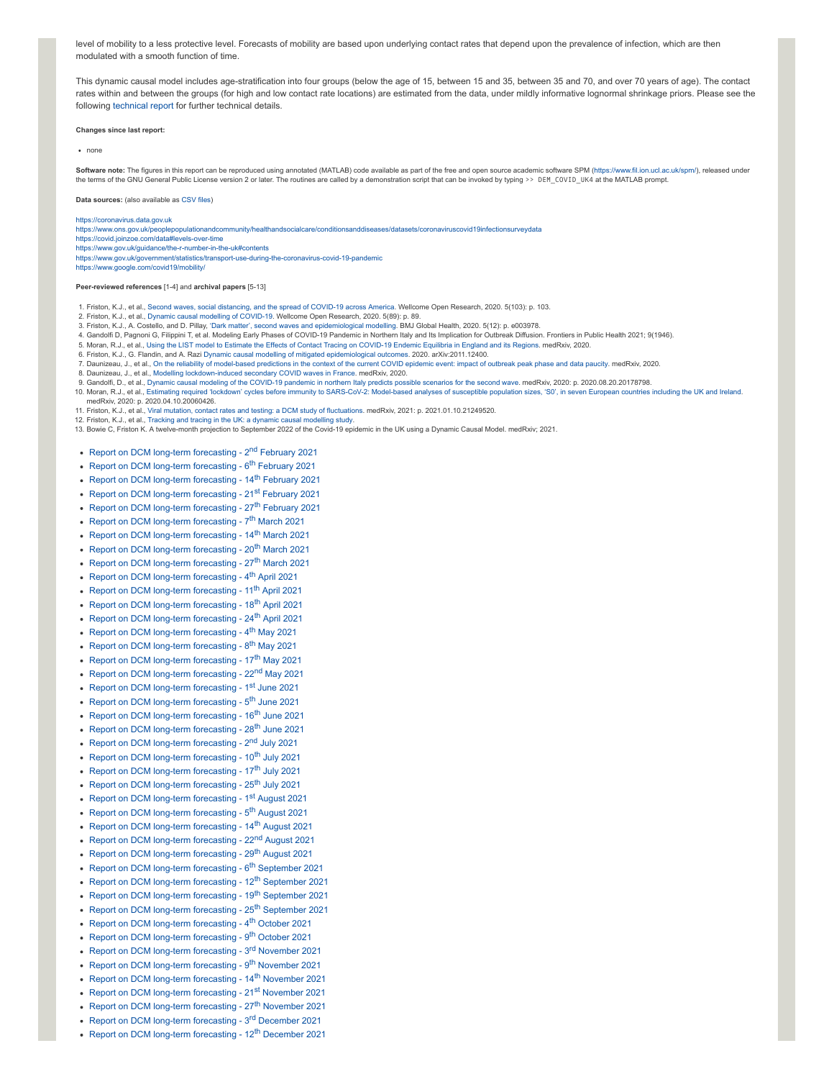level of mobility to a less protective level. Forecasts of mobility are based upon underlying contact rates that depend upon the prevalence of infection, which are then modulated with a smooth function of time.

This dynamic causal model includes age-stratification into four groups (below the age of 15, between 15 and 35, between 35 and 70, and over 70 years of age). The contact rates within and between the groups (for high and low contact rate locations) are estimated from the data, under mildly informative lognormal shrinkage priors. Please see the following [technical report](https://arxiv.org/abs/2011.12400) for further technical details.

**Changes since last report:**

none

Software note: The figures in this report can be reproduced using annotated (MATLAB) code available as part of the free and open source academic software SPM (<https://www.fil.ion.ucl.ac.uk/spm/>), released under the terms of the GNU General Public License version 2 or later. The routines are called by a demonstration script that can be invoked by typing >> DEM\_COVID\_UK4 at the MATLAB prompt.

**Data sources:** (also available as [CSV](https://www.fil.ion.ucl.ac.uk/spm/covid-19/dashboard/data/data.zip) files)

[https://coronavirus.data.gov.uk](https://coronavirus.data.gov.uk/)

<https://www.ons.gov.uk/peoplepopulationandcommunity/healthandsocialcare/conditionsanddiseases/datasets/coronaviruscovid19infectionsurveydata>

<https://covid.joinzoe.com/data#levels-over-time>

<https://www.gov.uk/guidance/the-r-number-in-the-uk#contents>

<https://www.gov.uk/government/statistics/transport-use-during-the-coronavirus-covid-19-pandemic> <https://www.google.com/covid19/mobility/>

**Peer-reviewed references** [1-4] and **archival papers** [5-13]

- 1. Friston, K.J., et al., Second waves, social [distancing,](https://wellcomeopenresearch.org/articles/5-103) and the spread of COVID-19 across America. Wellcome Open Research, 2020. 5(103): p. 103.
- 2. Friston, K.J., et al., Dynamic causal modelling of [COVID-19](https://wellcomeopenresearch.org/articles/5-89). Wellcome Open Research, 2020. 5(89): p. 89.
- 3. Friston, K.J., A. Costello, and D. Pillay, 'Dark matter', second waves and [epidemiological](https://gh.bmj.com/content/5/12/e003978) modelling. BMJ Global Health, 2020. 5(12): p. e003978.<br>4. Gandolfi D, Pagnoni G, Filippini T, et al. Modeling Early Phases of CO
- 
- 5. Moran, R.J., et al., Using the LIST model to Estimate the Effects of Contact Tracing on [COVID-19](https://www.medrxiv.org/content/10.1101/2020.06.11.20128611v1) Endemic Equilibria in England and its Regions. medRxiv, 2020. 6. Friston, K.J., G. Flandin, and A. Razi Dynamic causal modelling of mitigated [epidemiological](https://arxiv.org/abs/2011.12400) outcomes. 2020. arXiv:2011.12400.
- 7. Daunizeau, J., et al., On the reliability of [model-based](https://www.medrxiv.org/content/10.1101/2020.04.24.20078485v1) predictions in the context of the current COVID epidemic event: impact of outbreak peak phase and data paucity. medRxiv, 2020.
- 8. Daunizeau, J., et al., Modelling [lockdown-induced](https://www.medrxiv.org/content/10.1101/2020.06.24.20139444v4) secondary COVID waves in France. medRxiv, 2020.
- 9. Gandolfi, D., et al., Dynamic causal modeling of the [COVID-19](https://www.medrxiv.org/content/10.1101/2020.08.20.20178798v1) pandemic in northern Italy predicts possible scenarios for the second wave. medRxiv, 2020: p. 2020.08.20.20178798.
- 10. Moran, R.J., et al., Estimating required 'lockdown' cycles before immunity to [SARS-CoV-2:](https://arxiv.org/abs/2004.05060) Model-based analyses of susceptible population sizes, 'S0', in seven European countries including the UK and Ireland. medRxiv, 2020: p. 2020.04.10.20060426.
- 11. Friston, K.J., et al., Viral mutation, contact rates and testing: a DCM study of [fluctuations](https://www.medrxiv.org/content/10.1101/2021.01.10.21249520v1). medRxiv, 2021: p. 2021.01.10.21249520.
- 12. Friston, K.J., et al., Tracking and tracing in the UK: a dynamic causal [modelling](https://arxiv.org/abs/2005.07994) study.
- 13. Bowie C, Friston K. A twelve-month projection to September 2022 of the Covid-19 epidemic in the UK using a Dynamic Causal Model. medRxiv; 2021.
- [Report on DCM long-term forecasting 2](https://www.fil.ion.ucl.ac.uk/spm/covid-19/forecasting/forecasting_020221.pdf)<sup>nd</sup> February 2021
- [Report on DCM long-term forecasting 6](https://www.fil.ion.ucl.ac.uk/spm/covid-19/forecasting/forecasting_060221.pdf)<sup>th</sup> February 2021
- [Report on DCM long-term forecasting 14](https://www.fil.ion.ucl.ac.uk/spm/covid-19/forecasting/forecasting_140221.pdf)<sup>th</sup> February 2021
- [Report on DCM long-term forecasting 21](https://www.fil.ion.ucl.ac.uk/spm/covid-19/forecasting/forecasting_210221.pdf)st February 2021
- 
- [Report on DCM long-term forecasting 27](https://www.fil.ion.ucl.ac.uk/spm/covid-19/forecasting/forecasting_270221.pdf)<sup>th</sup> February 2021
- [Report on DCM long-term forecasting 7](https://www.fil.ion.ucl.ac.uk/spm/covid-19/forecasting/forecasting_070321.pdf)<sup>th</sup> March 2021
- [Report on DCM long-term forecasting 14](https://www.fil.ion.ucl.ac.uk/spm/covid-19/forecasting/forecasting_140321.pdf)<sup>th</sup> March 2021
- [Report on DCM long-term forecasting 20](https://www.fil.ion.ucl.ac.uk/spm/covid-19/forecasting/forecasting_200321.pdf)<sup>th</sup> March 2021
- [Report on DCM long-term forecasting 27](https://www.fil.ion.ucl.ac.uk/spm/covid-19/forecasting/forecasting_270321.pdf)<sup>th</sup> March 2021
- [Report on DCM long-term forecasting 4](https://www.fil.ion.ucl.ac.uk/spm/covid-19/forecasting/forecasting_040421.pdf)<sup>th</sup> April 2021
- [Report on DCM long-term forecasting 11](https://www.fil.ion.ucl.ac.uk/spm/covid-19/forecasting/forecasting_110421.pdf)<sup>th</sup> April 2021
- [Report on DCM long-term forecasting 18](https://www.fil.ion.ucl.ac.uk/spm/covid-19/forecasting/forecasting_180421.pdf)<sup>th</sup> April 2021
- [Report on DCM long-term forecasting 24](https://www.fil.ion.ucl.ac.uk/spm/covid-19/forecasting/forecasting_240421.pdf)<sup>th</sup> April 2021
- [Report on DCM long-term forecasting 4](https://www.fil.ion.ucl.ac.uk/spm/covid-19/forecasting/forecasting_040521.pdf)<sup>th</sup> May 2021
- [Report on DCM long-term forecasting 8](https://www.fil.ion.ucl.ac.uk/spm/covid-19/forecasting/forecasting_080521.pdf)<sup>th</sup> May 2021
- [Report on DCM long-term forecasting 17](https://www.fil.ion.ucl.ac.uk/spm/covid-19/forecasting/forecasting_170521.pdf)<sup>th</sup> May 2021
- 
- [Report on DCM long-term forecasting 22](https://www.fil.ion.ucl.ac.uk/spm/covid-19/forecasting/forecasting_220521.pdf)<sup>nd</sup> May 2021 • [Report on DCM long-term forecasting - 1](https://www.fil.ion.ucl.ac.uk/spm/covid-19/forecasting/forecasting_010621.pdf)<sup>st</sup> June 2021
- 
- [Report on DCM long-term forecasting 5](https://www.fil.ion.ucl.ac.uk/spm/covid-19/forecasting/forecasting_050621.pdf)<sup>th</sup> June 2021
- [Report on DCM long-term forecasting 16](https://www.fil.ion.ucl.ac.uk/spm/covid-19/forecasting/forecasting_160621.pdf)<sup>th</sup> June 2021
- [Report on DCM long-term forecasting 28](https://www.fil.ion.ucl.ac.uk/spm/covid-19/forecasting/forecasting_280621.pdf)<sup>th</sup> June 2021
- [Report on DCM long-term forecasting 2](https://www.fil.ion.ucl.ac.uk/spm/covid-19/forecasting/forecasting_020721.pdf)<sup>nd</sup> July 2021
- [Report on DCM long-term forecasting 10](https://www.fil.ion.ucl.ac.uk/spm/covid-19/forecasting/forecasting_100721.pdf)<sup>th</sup> July 2021
- [Report on DCM long-term forecasting 17](https://www.fil.ion.ucl.ac.uk/spm/covid-19/forecasting/forecasting_170721.pdf)<sup>th</sup> July 2021
- [Report on DCM long-term forecasting 25](https://www.fil.ion.ucl.ac.uk/spm/covid-19/forecasting/forecasting_250721.pdf)<sup>th</sup> July 2021
- [Report on DCM long-term forecasting 1](https://www.fil.ion.ucl.ac.uk/spm/covid-19/forecasting/forecasting_010821.pdf)<sup>st</sup> August 2021
- [Report on DCM long-term forecasting 5](https://www.fil.ion.ucl.ac.uk/spm/covid-19/forecasting/forecasting_050821.pdf)<sup>th</sup> August 2021
- [Report on DCM long-term forecasting 14](https://www.fil.ion.ucl.ac.uk/spm/covid-19/forecasting/forecasting_140821.pdf)<sup>th</sup> August 2021
- [Report on DCM long-term forecasting 22](https://www.fil.ion.ucl.ac.uk/spm/covid-19/forecasting/forecasting_220821.pdf)<sup>nd</sup> August 2021
- [Report on DCM long-term forecasting 29](https://www.fil.ion.ucl.ac.uk/spm/covid-19/forecasting/forecasting_290821.pdf)<sup>th</sup> August 2021
- [Report on DCM long-term forecasting 6](https://www.fil.ion.ucl.ac.uk/spm/covid-19/forecasting/forecasting_060921.pdf)<sup>th</sup> September 2021
- [Report on DCM long-term forecasting 12](https://www.fil.ion.ucl.ac.uk/spm/covid-19/forecasting/forecasting_120921.pdf)<sup>th</sup> September 2021
- [Report on DCM long-term forecasting 19](https://www.fil.ion.ucl.ac.uk/spm/covid-19/forecasting/forecasting_190921.pdf)<sup>th</sup> September 2021
- [Report on DCM long-term forecasting 25](https://www.fil.ion.ucl.ac.uk/spm/covid-19/forecasting/forecasting_250921.pdf)<sup>th</sup> September 2021
- [Report on DCM long-term forecasting 4](https://www.fil.ion.ucl.ac.uk/spm/covid-19/forecasting/forecasting_041021.pdf)<sup>th</sup> October 2021
- [Report on DCM long-term forecasting 9](https://www.fil.ion.ucl.ac.uk/spm/covid-19/forecasting/forecasting_091021.pdf)<sup>th</sup> October 2021
- [Report on DCM long-term forecasting 3](https://www.fil.ion.ucl.ac.uk/spm/covid-19/forecasting/forecasting_031121.pdf)<sup>rd</sup> November 2021
- [Report on DCM long-term forecasting 9](https://www.fil.ion.ucl.ac.uk/spm/covid-19/forecasting/forecasting_091121.pdf)<sup>th</sup> November 2021
- [Report on DCM long-term forecasting 14](https://www.fil.ion.ucl.ac.uk/spm/covid-19/forecasting/forecasting_141121.pdf)<sup>th</sup> November 2021
- [Report on DCM long-term forecasting 21](https://www.fil.ion.ucl.ac.uk/spm/covid-19/forecasting/forecasting_211121.pdf)<sup>st</sup> November 2021
- [Report on DCM long-term forecasting 27](https://www.fil.ion.ucl.ac.uk/spm/covid-19/forecasting/forecasting_271121.pdf)<sup>th</sup> November 2021
- [Report on DCM long-term forecasting 3](https://www.fil.ion.ucl.ac.uk/spm/covid-19/forecasting/forecasting_031221.pdf)<sup>rd</sup> December 2021
- [Report on DCM long-term forecasting 12](https://www.fil.ion.ucl.ac.uk/spm/covid-19/forecasting/forecasting_121221.pdf)<sup>th</sup> December 2021